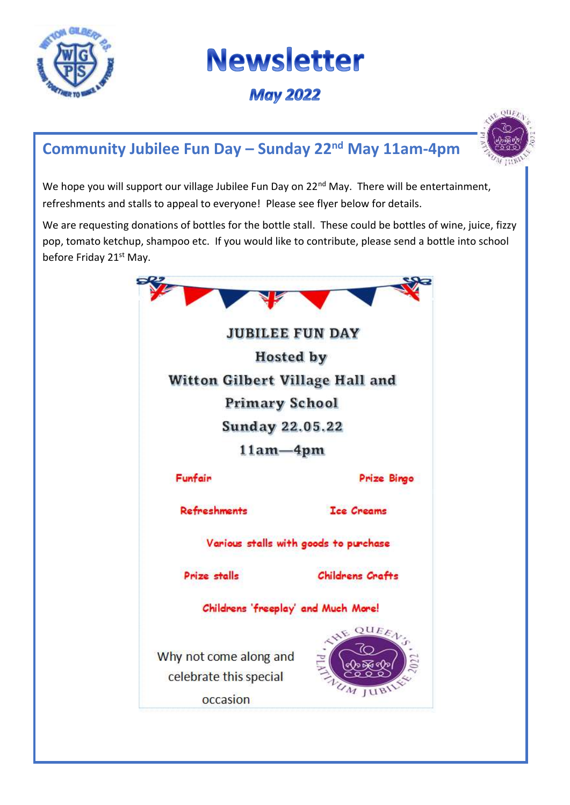

I

# **Newsletter**

**May 2022** 

# **Community Jubilee Fun Day – Sunday 22nd May 11am-4pm**



We hope you will support our village Jubilee Fun Day on 22<sup>nd</sup> May. There will be entertainment, refreshments and stalls to appeal to everyone! Please see flyer below for details.

We are requesting donations of bottles for the bottle stall. These could be bottles of wine, juice, fizzy pop, tomato ketchup, shampoo etc. If you would like to contribute, please send a bottle into school before Friday 21<sup>st</sup> May.

| <b>JUBILEE FUN DAY</b>                                       |                         |
|--------------------------------------------------------------|-------------------------|
| <b>Hosted by</b>                                             |                         |
| Witton Gilbert Village Hall and                              |                         |
| <b>Primary School</b>                                        |                         |
| <b>Sunday 22.05.22</b>                                       |                         |
| $11am - 4pm$                                                 |                         |
| Funfair                                                      | <b>Prize Bingo</b>      |
| <b>Refreshments</b>                                          | <b>Ice Creams</b>       |
| Various stalls with goods to purchase                        |                         |
| Prize stalls                                                 | <b>Childrens Crafts</b> |
| Childrens 'freeplay' and Much More!                          |                         |
| Why not come along and<br>celebrate this special<br>occasion | UEE<br>n <sub>1</sub>   |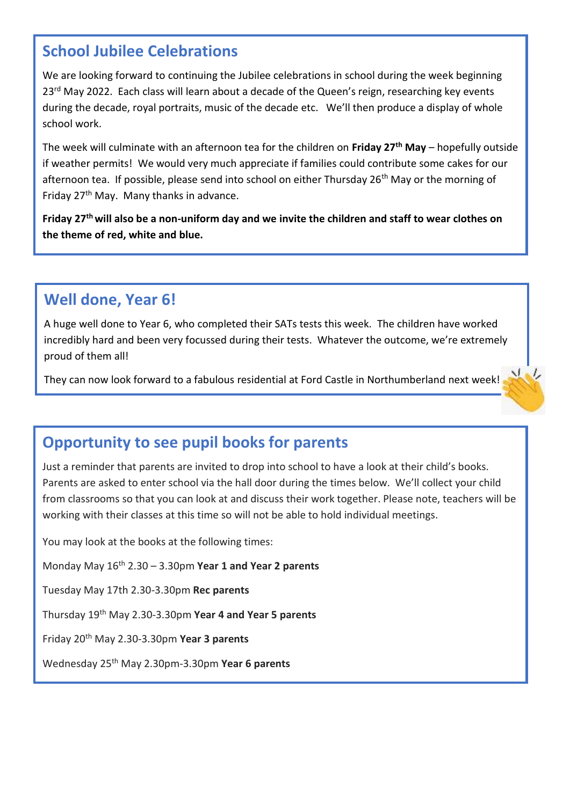#### **School Jubilee Celebrations**

We are looking forward to continuing the Jubilee celebrations in school during the week beginning 23<sup>rd</sup> May 2022. Each class will learn about a decade of the Queen's reign, researching key events during the decade, royal portraits, music of the decade etc. We'll then produce a display of whole school work.

The week will culminate with an afternoon tea for the children on **Friday 27th May** – hopefully outside if weather permits! We would very much appreciate if families could contribute some cakes for our afternoon tea. If possible, please send into school on either Thursday 26<sup>th</sup> May or the morning of Friday 27th May. Many thanks in advance.

**Friday 27th will also be a non-uniform day and we invite the children and staff to wear clothes on the theme of red, white and blue.**

# **Well done, Year 6!**

A huge well done to Year 6, who completed their SATs tests this week. The children have worked incredibly hard and been very focussed during their tests. Whatever the outcome, we're extremely proud of them all!

 $N_{\rm e}$ They can now look forward to a fabulous residential at Ford Castle in Northumberland next week!

# **Opportunity to see pupil books for parents**

Just a reminder that parents are invited to drop into school to have a look at their child's books. Parents are asked to enter school via the hall door during the times below. We'll collect your child from classrooms so that you can look at and discuss their work together. Please note, teachers will be working with their classes at this time so will not be able to hold individual meetings.

You may look at the books at the following times:

Monday May 16th 2.30 – 3.30pm **Year 1 and Year 2 parents**

Tuesday May 17th 2.30-3.30pm **Rec parents**

Thursday 19th May 2.30-3.30pm **Year 4 and Year 5 parents**

Friday 20th May 2.30-3.30pm **Year 3 parents**

Wednesday 25th May 2.30pm-3.30pm **Year 6 parents**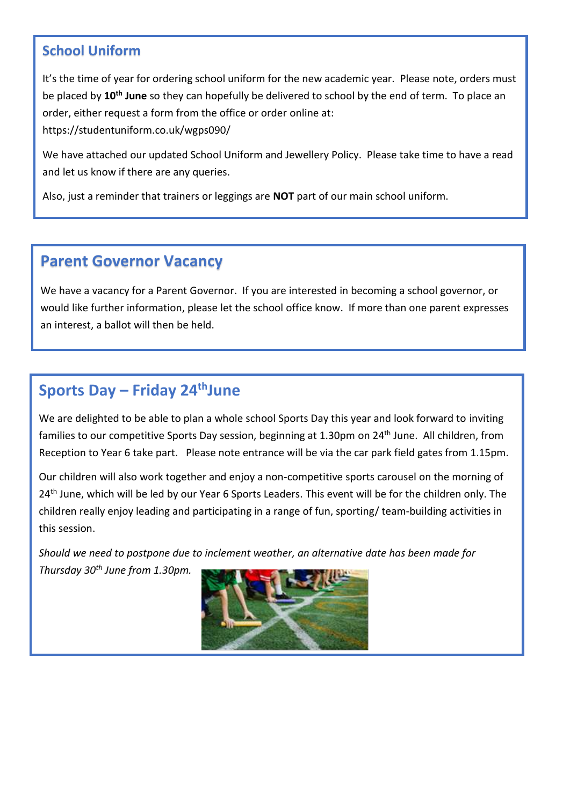#### **School Uniform**

It's the time of year for ordering school uniform for the new academic year. Please note, orders must be placed by **10th June** so they can hopefully be delivered to school by the end of term. To place an order, either request a form from the office or order online at: https://studentuniform.co.uk/wgps090/

We have attached our updated School Uniform and Jewellery Policy. Please take time to have a read and let us know if there are any queries.

Also, just a reminder that trainers or leggings are **NOT** part of our main school uniform.

### **Parent Governor Vacancy**

Thank you for supporting our Uniform Policy.

We have a vacancy for a Parent Governor. If you are interested in becoming a school governor, or would like further information, please let the school office know. If more than one parent expresses an interest, a ballot will then be held.

# **Sports Day – Friday 24thJune**

We are delighted to be able to plan a whole school Sports Day this year and look forward to inviting families to our competitive Sports Day session, beginning at 1.30pm on 24<sup>th</sup> June. All children, from Reception to Year 6 take part. Please note entrance will be via the car park field gates from 1.15pm.

Our children will also work together and enjoy a non-competitive sports carousel on the morning of 24<sup>th</sup> June, which will be led by our Year 6 Sports Leaders. This event will be for the children only. The children really enjoy leading and participating in a range of fun, sporting/ team-building activities in this session.

*Should we need to postpone due to inclement weather, an alternative date has been made for Thursday 30th June from 1.30pm.*